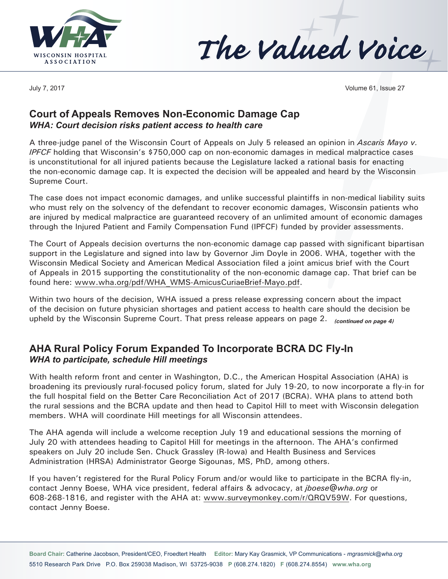



July 7, 2017 Volume 61, Issue 27

#### **Court of Appeals Removes Non-Economic Damage Cap**  *WHA: Court decision risks patient access to health care*

A three-judge panel of the Wisconsin Court of Appeals on July 5 released an opinion in *Ascaris Mayo v. IPFCF* holding that Wisconsin's \$750,000 cap on non-economic damages in medical malpractice cases is unconstitutional for all injured patients because the Legislature lacked a rational basis for enacting the non-economic damage cap. It is expected the decision will be appealed and heard by the Wisconsin Supreme Court.

The case does not impact economic damages, and unlike successful plaintiffs in non-medical liability suits who must rely on the solvency of the defendant to recover economic damages, Wisconsin patients who are injured by medical malpractice are guaranteed recovery of an unlimited amount of economic damages through the Injured Patient and Family Compensation Fund (IPFCF) funded by provider assessments.

The Court of Appeals decision overturns the non-economic damage cap passed with significant bipartisan support in the Legislature and signed into law by Governor Jim Doyle in 2006. WHA, together with the Wisconsin Medical Society and American Medical Association filed a joint amicus brief with the Court of Appeals in 2015 supporting the constitutionality of the non-economic damage cap. That brief can be found here: www.wha.org/pdf/WHA\_WMS-AmicusCuriaeBrief-Mayo.pdf.

Within two hours of the decision, WHA issued a press release expressing concern about the impact of the decision on future physician shortages and patient access to health care should the decision be upheld by the Wisconsin Supreme Court. That press release appears on page 2. *(continued on page 4)*

## **AHA Rural Policy Forum Expanded To Incorporate BCRA DC Fly-In** *WHA to participate, schedule Hill meetings*

With health reform front and center in Washington, D.C., the American Hospital Association (AHA) is broadening its previously rural-focused policy forum, slated for July 19-20, to now incorporate a fly-in for the full hospital field on the Better Care Reconciliation Act of 2017 (BCRA). WHA plans to attend both the rural sessions and the BCRA update and then head to Capitol Hill to meet with Wisconsin delegation members. WHA will coordinate Hill meetings for all Wisconsin attendees.

The AHA agenda will include a welcome reception July 19 and educational sessions the morning of July 20 with attendees heading to Capitol Hill for meetings in the afternoon. The AHA's confirmed speakers on July 20 include Sen. Chuck Grassley (R-Iowa) and Health Business and Services Administration (HRSA) Administrator George Sigounas, MS, PhD, among others.

If you haven't registered for the Rural Policy Forum and/or would like to participate in the BCRA fly-in, contact Jenny Boese, WHA vice president, federal affairs & advocacy, at *jboese@wha.org* or 608-268-1816, and register with the AHA at: www.surveymonkey.com/r/QRQV59W. For questions, contact Jenny Boese.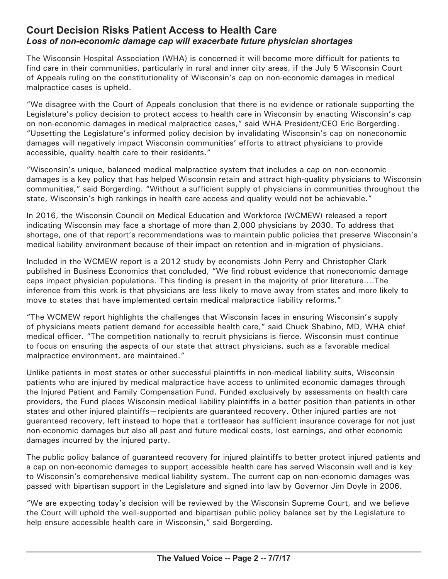## **Court Decision Risks Patient Access to Health Care** *Loss of non-economic damage cap will exacerbate future physician shortages*

The Wisconsin Hospital Association (WHA) is concerned it will become more difficult for patients to find care in their communities, particularly in rural and inner city areas, if the July 5 Wisconsin Court of Appeals ruling on the constitutionality of Wisconsin's cap on non-economic damages in medical malpractice cases is upheld.

"We disagree with the Court of Appeals conclusion that there is no evidence or rationale supporting the Legislature's policy decision to protect access to health care in Wisconsin by enacting Wisconsin's cap on non-economic damages in medical malpractice cases," said WHA President/CEO Eric Borgerding. "Upsetting the Legislature's informed policy decision by invalidating Wisconsin's cap on noneconomic damages will negatively impact Wisconsin communities' efforts to attract physicians to provide accessible, quality health care to their residents."

"Wisconsin's unique, balanced medical malpractice system that includes a cap on non-economic damages is a key policy that has helped Wisconsin retain and attract high-quality physicians to Wisconsin communities," said Borgerding. "Without a sufficient supply of physicians in communities throughout the state, Wisconsin's high rankings in health care access and quality would not be achievable."

In 2016, the Wisconsin Council on Medical Education and Workforce (WCMEW) released a report indicating Wisconsin may face a shortage of more than 2,000 physicians by 2030. To address that shortage, one of that report's recommendations was to maintain public policies that preserve Wisconsin's medical liability environment because of their impact on retention and in-migration of physicians.

Included in the WCMEW report is a 2012 study by economists John Perry and Christopher Clark published in Business Economics that concluded, "We find robust evidence that noneconomic damage caps impact physician populations. This finding is present in the majority of prior literature….The inference from this work is that physicians are less likely to move away from states and more likely to move to states that have implemented certain medical malpractice liability reforms."

"The WCMEW report highlights the challenges that Wisconsin faces in ensuring Wisconsin's supply of physicians meets patient demand for accessible health care," said Chuck Shabino, MD, WHA chief medical officer. "The competition nationally to recruit physicians is fierce. Wisconsin must continue to focus on ensuring the aspects of our state that attract physicians, such as a favorable medical malpractice environment, are maintained."

Unlike patients in most states or other successful plaintiffs in non-medical liability suits, Wisconsin patients who are injured by medical malpractice have access to unlimited economic damages through the Injured Patient and Family Compensation Fund. Funded exclusively by assessments on health care providers, the Fund places Wisconsin medical liability plaintiffs in a better position than patients in other states and other injured plaintiffs—recipients are guaranteed recovery. Other injured parties are not guaranteed recovery, left instead to hope that a tortfeasor has sufficient insurance coverage for not just non-economic damages but also all past and future medical costs, lost earnings, and other economic damages incurred by the injured party.

The public policy balance of guaranteed recovery for injured plaintiffs to better protect injured patients and a cap on non-economic damages to support accessible health care has served Wisconsin well and is key to Wisconsin's comprehensive medical liability system. The current cap on non-economic damages was passed with bipartisan support in the Legislature and signed into law by Governor Jim Doyle in 2006.

"We are expecting today's decision will be reviewed by the Wisconsin Supreme Court, and we believe the Court will uphold the well-supported and bipartisan public policy balance set by the Legislature to help ensure accessible health care in Wisconsin," said Borgerding.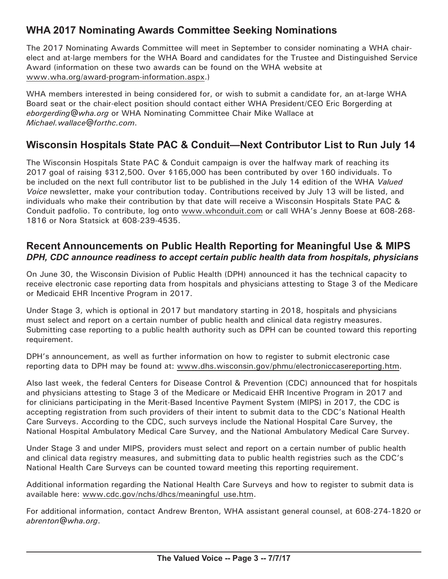# **WHA 2017 Nominating Awards Committee Seeking Nominations**

The 2017 Nominating Awards Committee will meet in September to consider nominating a WHA chairelect and at-large members for the WHA Board and candidates for the Trustee and Distinguished Service Award (information on these two awards can be found on the WHA website at www.wha.org/award-program-information.aspx.)

WHA members interested in being considered for, or wish to submit a candidate for, an at-large WHA Board seat or the chair-elect position should contact either WHA President/CEO Eric Borgerding at *eborgerding@wha.org* or WHA Nominating Committee Chair Mike Wallace at *Michael.wallace@forthc.com*.

## **Wisconsin Hospitals State PAC & Conduit—Next Contributor List to Run July 14**

The Wisconsin Hospitals State PAC & Conduit campaign is over the halfway mark of reaching its 2017 goal of raising \$312,500. Over \$165,000 has been contributed by over 160 individuals. To be included on the next full contributor list to be published in the July 14 edition of the WHA *Valued Voice* newsletter, make your contribution today. Contributions received by July 13 will be listed, and individuals who make their contribution by that date will receive a Wisconsin Hospitals State PAC & Conduit padfolio. To contribute, log onto www.whconduit.com or call WHA's Jenny Boese at 608-268- 1816 or Nora Statsick at 608-239-4535.

## **Recent Announcements on Public Health Reporting for Meaningful Use & MIPS** *DPH, CDC announce readiness to accept certain public health data from hospitals, physicians*

On June 30, the Wisconsin Division of Public Health (DPH) announced it has the technical capacity to receive electronic case reporting data from hospitals and physicians attesting to Stage 3 of the Medicare or Medicaid EHR Incentive Program in 2017.

Under Stage 3, which is optional in 2017 but mandatory starting in 2018, hospitals and physicians must select and report on a certain number of public health and clinical data registry measures. Submitting case reporting to a public health authority such as DPH can be counted toward this reporting requirement.

DPH's announcement, as well as further information on how to register to submit electronic case reporting data to DPH may be found at: www.dhs.wisconsin.gov/phmu/electroniccasereporting.htm.

Also last week, the federal Centers for Disease Control & Prevention (CDC) announced that for hospitals and physicians attesting to Stage 3 of the Medicare or Medicaid EHR Incentive Program in 2017 and for clinicians participating in the Merit-Based Incentive Payment System (MIPS) in 2017, the CDC is accepting registration from such providers of their intent to submit data to the CDC's National Health Care Surveys. According to the CDC, such surveys include the National Hospital Care Survey, the National Hospital Ambulatory Medical Care Survey, and the National Ambulatory Medical Care Survey.

Under Stage 3 and under MIPS, providers must select and report on a certain number of public health and clinical data registry measures, and submitting data to public health registries such as the CDC's National Health Care Surveys can be counted toward meeting this reporting requirement.

Additional information regarding the National Health Care Surveys and how to register to submit data is available here: www.cdc.gov/nchs/dhcs/meaningful use.htm.

For additional information, contact Andrew Brenton, WHA assistant general counsel, at 608-274-1820 or *abrenton@wha.org*.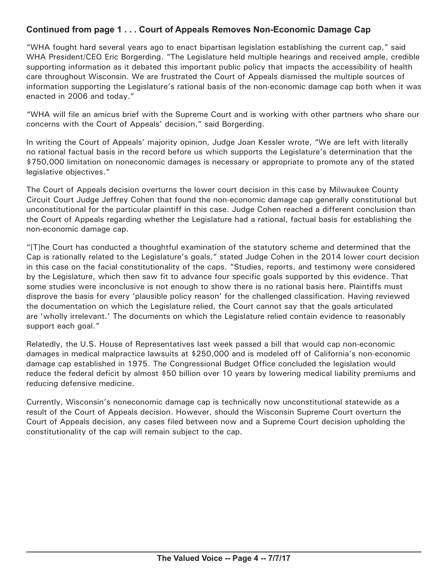#### **Continued from page 1 . . . Court of Appeals Removes Non-Economic Damage Cap**

"WHA fought hard several years ago to enact bipartisan legislation establishing the current cap," said WHA President/CEO Eric Borgerding. "The Legislature held multiple hearings and received ample, credible supporting information as it debated this important public policy that impacts the accessibility of health care throughout Wisconsin. We are frustrated the Court of Appeals dismissed the multiple sources of information supporting the Legislature's rational basis of the non-economic damage cap both when it was enacted in 2006 and today."

"WHA will file an amicus brief with the Supreme Court and is working with other partners who share our concerns with the Court of Appeals' decision," said Borgerding.

In writing the Court of Appeals' majority opinion, Judge Joan Kessler wrote, "We are left with literally no rational factual basis in the record before us which supports the Legislature's determination that the \$750,000 limitation on noneconomic damages is necessary or appropriate to promote any of the stated legislative objectives."

The Court of Appeals decision overturns the lower court decision in this case by Milwaukee County Circuit Court Judge Jeffrey Cohen that found the non-economic damage cap generally constitutional but unconstitutional for the particular plaintiff in this case. Judge Cohen reached a different conclusion than the Court of Appeals regarding whether the Legislature had a rational, factual basis for establishing the non-economic damage cap.

"[T]he Court has conducted a thoughtful examination of the statutory scheme and determined that the Cap is rationally related to the Legislature's goals," stated Judge Cohen in the 2014 lower court decision in this case on the facial constitutionality of the caps. "Studies, reports, and testimony were considered by the Legislature, which then saw fit to advance four specific goals supported by this evidence. That some studies were inconclusive is not enough to show there is no rational basis here. Plaintiffs must disprove the basis for every 'plausible policy reason' for the challenged classification. Having reviewed the documentation on which the Legislature relied, the Court cannot say that the goals articulated are 'wholly irrelevant.' The documents on which the Legislature relied contain evidence to reasonably support each goal."

Relatedly, the U.S. House of Representatives last week passed a bill that would cap non-economic damages in medical malpractice lawsuits at \$250,000 and is modeled off of California's non-economic damage cap established in 1975. The Congressional Budget Office concluded the legislation would reduce the federal deficit by almost \$50 billion over 10 years by lowering medical liability premiums and reducing defensive medicine.

Currently, Wisconsin's noneconomic damage cap is technically now unconstitutional statewide as a result of the Court of Appeals decision. However, should the Wisconsin Supreme Court overturn the Court of Appeals decision, any cases filed between now and a Supreme Court decision upholding the constitutionality of the cap will remain subject to the cap.